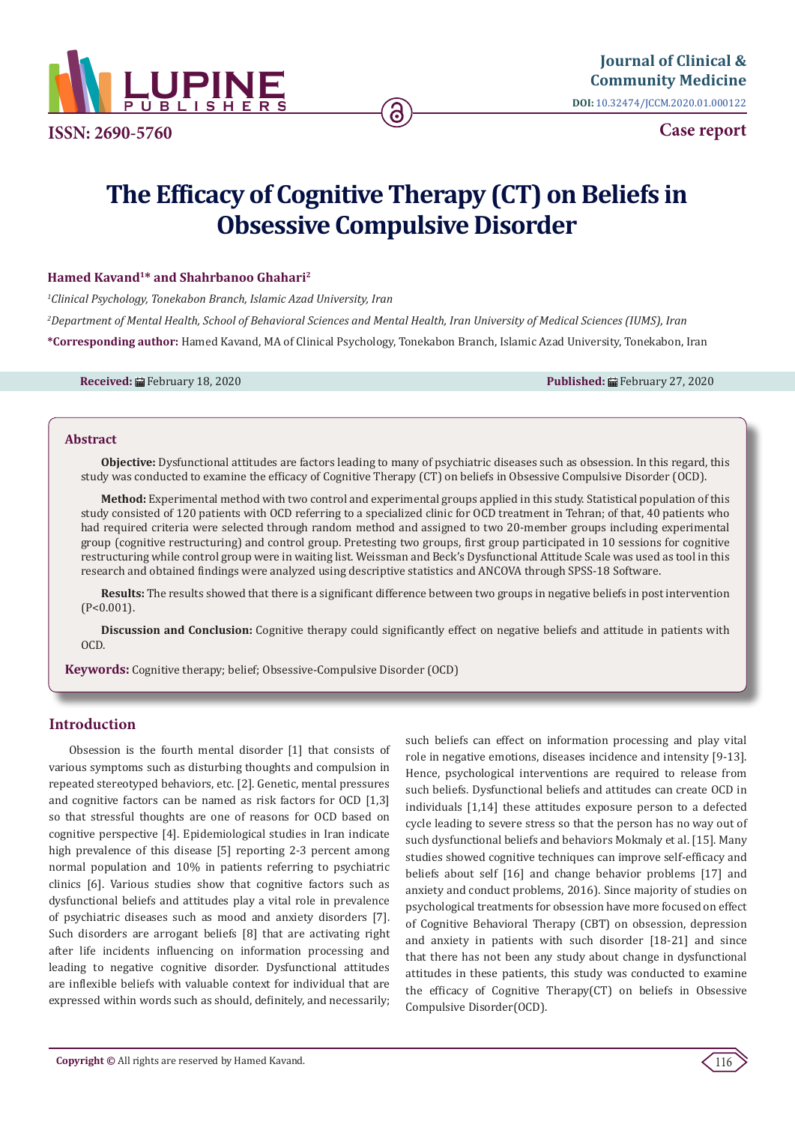

**ISSN: 2690-5760**

**Case report**

# **The Efficacy of Cognitive Therapy (CT) on Beliefs in Obsessive Compulsive Disorder**

## **Hamed Kavand1\* and Shahrbanoo Ghahari2**

*1 Clinical Psychology, Tonekabon Branch, Islamic Azad University, Iran* 

*2 Department of Mental Health, School of Behavioral Sciences and Mental Health, Iran University of Medical Sciences (IUMS), Iran* **\*Corresponding author:** Hamed Kavand, MA of Clinical Psychology, Tonekabon Branch, Islamic Azad University, Tonekabon, Iran

**Received:** February 18, 2020 **Published:** February 27, 2020

#### **Abstract**

**Objective:** Dysfunctional attitudes are factors leading to many of psychiatric diseases such as obsession. In this regard, this study was conducted to examine the efficacy of Cognitive Therapy (CT) on beliefs in Obsessive Compulsive Disorder (OCD).

**Method:** Experimental method with two control and experimental groups applied in this study. Statistical population of this study consisted of 120 patients with OCD referring to a specialized clinic for OCD treatment in Tehran; of that, 40 patients who had required criteria were selected through random method and assigned to two 20-member groups including experimental group (cognitive restructuring) and control group. Pretesting two groups, first group participated in 10 sessions for cognitive restructuring while control group were in waiting list. Weissman and Beck's Dysfunctional Attitude Scale was used as tool in this research and obtained findings were analyzed using descriptive statistics and ANCOVA through SPSS-18 Software.

**Results:** The results showed that there is a significant difference between two groups in negative beliefs in post intervention (P<0.001).

**Discussion and Conclusion:** Cognitive therapy could significantly effect on negative beliefs and attitude in patients with OCD.

**Keywords:** Cognitive therapy; belief; Obsessive-Compulsive Disorder (OCD)

## **Introduction**

Obsession is the fourth mental disorder [1] that consists of various symptoms such as disturbing thoughts and compulsion in repeated stereotyped behaviors, etc. [2]. Genetic, mental pressures and cognitive factors can be named as risk factors for OCD [1,3] so that stressful thoughts are one of reasons for OCD based on cognitive perspective [4]. Epidemiological studies in Iran indicate high prevalence of this disease [5] reporting 2-3 percent among normal population and 10% in patients referring to psychiatric clinics [6]. Various studies show that cognitive factors such as dysfunctional beliefs and attitudes play a vital role in prevalence of psychiatric diseases such as mood and anxiety disorders [7]. Such disorders are arrogant beliefs [8] that are activating right after life incidents influencing on information processing and leading to negative cognitive disorder. Dysfunctional attitudes are inflexible beliefs with valuable context for individual that are expressed within words such as should, definitely, and necessarily;

such beliefs can effect on information processing and play vital role in negative emotions, diseases incidence and intensity [9-13]. Hence, psychological interventions are required to release from such beliefs. Dysfunctional beliefs and attitudes can create OCD in individuals [1,14] these attitudes exposure person to a defected cycle leading to severe stress so that the person has no way out of such dysfunctional beliefs and behaviors Mokmaly et al. [15]. Many studies showed cognitive techniques can improve self-efficacy and beliefs about self [16] and change behavior problems [17] and anxiety and conduct problems, 2016). Since majority of studies on psychological treatments for obsession have more focused on effect of Cognitive Behavioral Therapy (CBT) on obsession, depression and anxiety in patients with such disorder [18-21] and since that there has not been any study about change in dysfunctional attitudes in these patients, this study was conducted to examine the efficacy of Cognitive Therapy(CT) on beliefs in Obsessive Compulsive Disorder(OCD).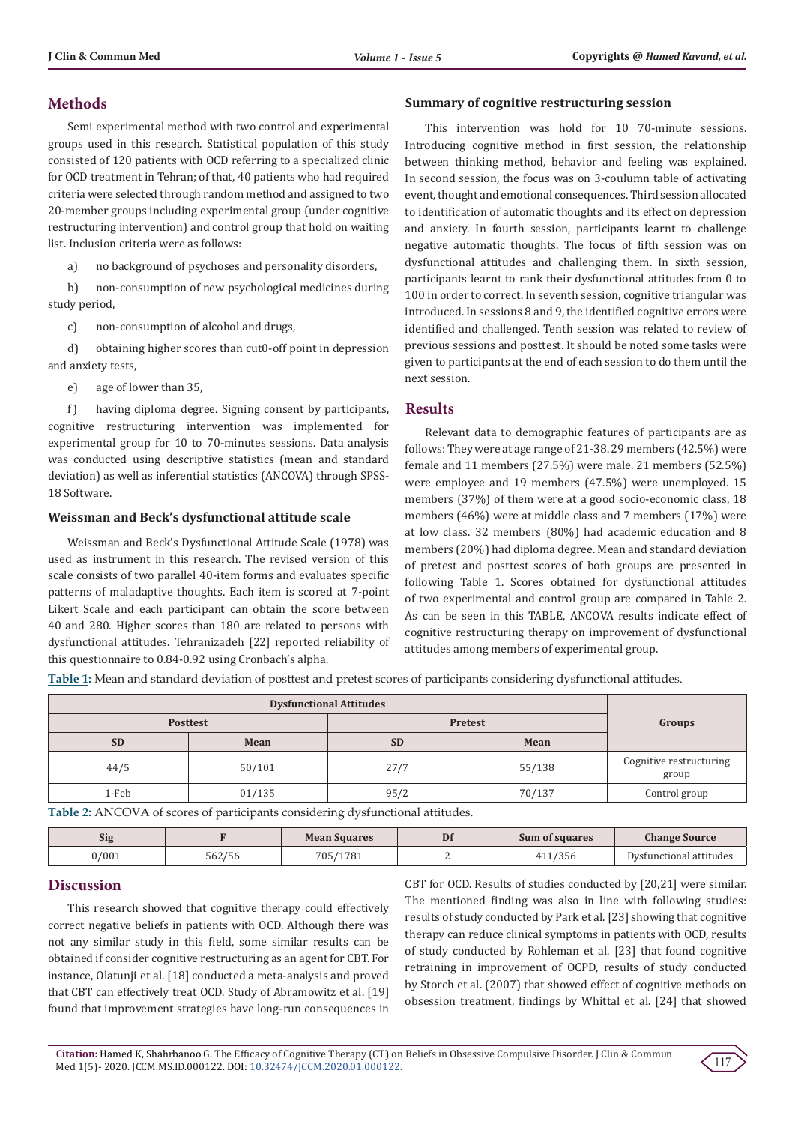# **Methods**

Semi experimental method with two control and experimental groups used in this research. Statistical population of this study consisted of 120 patients with OCD referring to a specialized clinic for OCD treatment in Tehran; of that, 40 patients who had required criteria were selected through random method and assigned to two 20-member groups including experimental group (under cognitive restructuring intervention) and control group that hold on waiting list. Inclusion criteria were as follows:

a) no background of psychoses and personality disorders,

b) non-consumption of new psychological medicines during study period,

c) non-consumption of alcohol and drugs,

d) obtaining higher scores than cut0-off point in depression and anxiety tests,

e) age of lower than 35,

f) having diploma degree. Signing consent by participants, cognitive restructuring intervention was implemented for experimental group for 10 to 70-minutes sessions. Data analysis was conducted using descriptive statistics (mean and standard deviation) as well as inferential statistics (ANCOVA) through SPSS-18 Software.

## **Weissman and Beck's dysfunctional attitude scale**

Weissman and Beck's Dysfunctional Attitude Scale (1978) was used as instrument in this research. The revised version of this scale consists of two parallel 40-item forms and evaluates specific patterns of maladaptive thoughts. Each item is scored at 7-point Likert Scale and each participant can obtain the score between 40 and 280. Higher scores than 180 are related to persons with dysfunctional attitudes. Tehranizadeh [22] reported reliability of this questionnaire to 0.84-0.92 using Cronbach's alpha.

## **Summary of cognitive restructuring session**

This intervention was hold for 10 70-minute sessions. Introducing cognitive method in first session, the relationship between thinking method, behavior and feeling was explained. In second session, the focus was on 3-coulumn table of activating event, thought and emotional consequences. Third session allocated to identification of automatic thoughts and its effect on depression and anxiety. In fourth session, participants learnt to challenge negative automatic thoughts. The focus of fifth session was on dysfunctional attitudes and challenging them. In sixth session, participants learnt to rank their dysfunctional attitudes from 0 to 100 in order to correct. In seventh session, cognitive triangular was introduced. In sessions 8 and 9, the identified cognitive errors were identified and challenged. Tenth session was related to review of previous sessions and posttest. It should be noted some tasks were given to participants at the end of each session to do them until the next session.

## **Results**

Relevant data to demographic features of participants are as follows: They were at age range of 21-38. 29 members (42.5%) were female and 11 members (27.5%) were male. 21 members (52.5%) were employee and 19 members (47.5%) were unemployed. 15 members (37%) of them were at a good socio-economic class, 18 members (46%) were at middle class and 7 members (17%) were at low class. 32 members (80%) had academic education and 8 members (20%) had diploma degree. Mean and standard deviation of pretest and posttest scores of both groups are presented in following Table 1. Scores obtained for dysfunctional attitudes of two experimental and control group are compared in Table 2. As can be seen in this TABLE, ANCOVA results indicate effect of cognitive restructuring therapy on improvement of dysfunctional attitudes among members of experimental group.

**Table 1:** Mean and standard deviation of posttest and pretest scores of participants considering dysfunctional attitudes.

| <b>Posttest</b> |        | <b>Pretest</b> |        | Groups                           |
|-----------------|--------|----------------|--------|----------------------------------|
| <b>SD</b>       | Mean   | <b>SD</b>      | Mean   |                                  |
| 44/5            | 50/101 | 27/7           | 55/138 | Cognitive restructuring<br>group |
| 1-Feb           | 01/135 | 95/2           | 70/137 | Control group                    |

**Table 2:** ANCOVA of scores of participants considering dysfunctional attitudes.

| <b>Sig</b> |        | <b>Mean Squares</b> | Df | Sum of squares | <b>Change Source</b>    |
|------------|--------|---------------------|----|----------------|-------------------------|
| 0/001      | 562/56 | 705/1781            |    | .11/356        | Dysfunctional attitudes |

## **Discussion**

This research showed that cognitive therapy could effectively correct negative beliefs in patients with OCD. Although there was not any similar study in this field, some similar results can be obtained if consider cognitive restructuring as an agent for CBT. For instance, Olatunji et al. [18] conducted a meta-analysis and proved that CBT can effectively treat OCD. Study of Abramowitz et al. [19] found that improvement strategies have long-run consequences in

CBT for OCD. Results of studies conducted by [20,21] were similar. The mentioned finding was also in line with following studies: results of study conducted by Park et al. [23] showing that cognitive therapy can reduce clinical symptoms in patients with OCD, results of study conducted by Rohleman et al. [23] that found cognitive retraining in improvement of OCPD, results of study conducted by Storch et al. (2007) that showed effect of cognitive methods on obsession treatment, findings by Whittal et al. [24] that showed

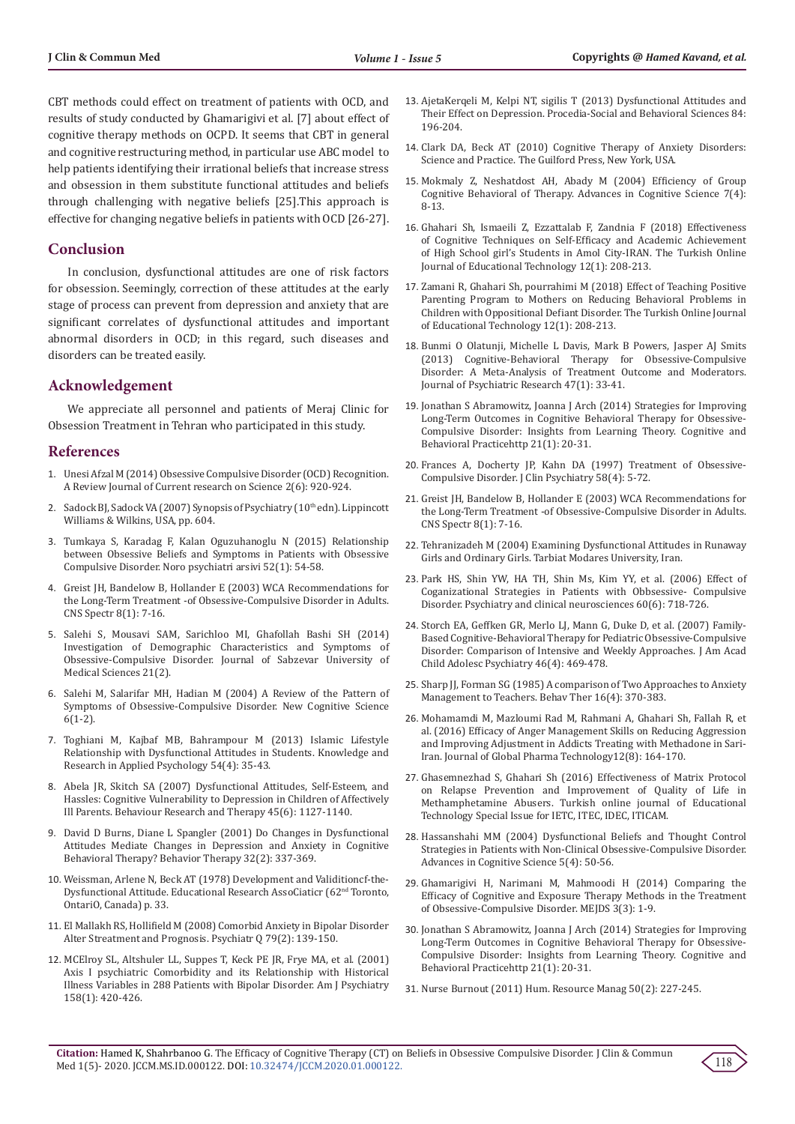CBT methods could effect on treatment of patients with OCD, and results of study conducted by Ghamarigivi et al. [7] about effect of cognitive therapy methods on OCPD. It seems that CBT in general and cognitive restructuring method, in particular use ABC model to help patients identifying their irrational beliefs that increase stress and obsession in them substitute functional attitudes and beliefs through challenging with negative beliefs [25].This approach is effective for changing negative beliefs in patients with OCD [26-27].

## **Conclusion**

In conclusion, dysfunctional attitudes are one of risk factors for obsession. Seemingly, correction of these attitudes at the early stage of process can prevent from depression and anxiety that are significant correlates of dysfunctional attitudes and important abnormal disorders in OCD; in this regard, such diseases and disorders can be treated easily.

## **Acknowledgement**

We appreciate all personnel and patients of Meraj Clinic for Obsession Treatment in Tehran who participated in this study.

## **References**

- 1. Unesi Afzal M (2014) Obsessive Compulsive Disorder (OCD) Recognition. A Review Journal of Current research on Science 2(6): 920-924.
- 2. Sadock BJ, Sadock VA (2007) Synopsis of Psychiatry (10<sup>th</sup> edn). Lippincott Williams & Wilkins, USA, pp. 604.
- 3. [Tumkaya S, Karadag F, Kalan Oguzuhanoglu N \(2015\) Relationship](https://www.ncbi.nlm.nih.gov/pubmed/28360676)  [between Obsessive Beliefs and Symptoms in Patients with Obsessive](https://www.ncbi.nlm.nih.gov/pubmed/28360676)  [Compulsive Disorder. Noro psychiatri arsivi 52\(1\): 54-58.](https://www.ncbi.nlm.nih.gov/pubmed/28360676)
- 4. Greist JH, Bandelow B, Hollander E (2003) WCA Recommendations for the Long-Term Treatment -of Obsessive-Compulsive Disorder in Adults. CNS Spectr 8(1): 7-16.
- 5. Salehi S, Mousavi SAM, Sarichloo MI, Ghafollah Bashi SH (2014) Investigation of Demographic Characteristics and Symptoms of Obsessive-Compulsive Disorder. Journal of Sabzevar University of Medical Sciences 21(2).
- 6. Salehi M, Salarifar MH, Hadian M (2004) A Review of the Pattern of Symptoms of Obsessive-Compulsive Disorder. New Cognitive Science 6(1-2).
- 7. Toghiani M, Kajbaf MB, Bahrampour M (2013) Islamic Lifestyle Relationship with Dysfunctional Attitudes in Students. Knowledge and Research in Applied Psychology 54(4): 35-43.
- 8. [Abela JR, Skitch SA \(2007\) Dysfunctional Attitudes, Self-Esteem, and](https://www.ncbi.nlm.nih.gov/pubmed/17074303)  [Hassles: Cognitive Vulnerability to Depression in Children of Affectively](https://www.ncbi.nlm.nih.gov/pubmed/17074303)  [Ill Parents. Behaviour Research and Therapy 45\(6\): 1127-1140.](https://www.ncbi.nlm.nih.gov/pubmed/17074303)
- 9. [David D Burns, Diane L Spangler \(2001\) Do Changes in Dysfunctional](https://psycnet.apa.org/record/2002-12368-007)  [Attitudes Mediate Changes in Depression and Anxiety in Cognitive](https://psycnet.apa.org/record/2002-12368-007)  [Behavioral Therapy? Behavior Therapy 32\(2\): 337-369.](https://psycnet.apa.org/record/2002-12368-007)
- 10. [Weissman, Arlene N, Beck AT \(1978\) Development and Validitioncf-the-](https://catalogue.nla.gov.au/Record/5363025)[Dysfunctional Attitude. Educational Research AssoCiaticr \(62nd Toronto,](https://catalogue.nla.gov.au/Record/5363025)  [OntariO, Canada\) p. 33.](https://catalogue.nla.gov.au/Record/5363025)
- 11. [El Mallakh RS, Hollifield M \(2008\) Comorbid Anxiety in Bipolar Disorder](https://www.ncbi.nlm.nih.gov/pubmed/18491230)  [Alter Streatment and Prognosis. Psychiatr Q 79\(2\): 139-150.](https://www.ncbi.nlm.nih.gov/pubmed/18491230)
- 12. [MCElroy SL, Altshuler LL, Suppes T, Keck PE JR, Frye MA, et al. \(2001\)](https://www.ncbi.nlm.nih.gov/pubmed/11229983)  [Axis I psychiatric Comorbidity and its Relationship with Historical](https://www.ncbi.nlm.nih.gov/pubmed/11229983)  [Illness Variables in 288 Patients with Bipolar Disorder. Am J Psychiatry](https://www.ncbi.nlm.nih.gov/pubmed/11229983)  [158\(1\): 420-426.](https://www.ncbi.nlm.nih.gov/pubmed/11229983)
- 13. [AjetaKerqeli M, Kelpi NT, sigilis T \(2013\) Dysfunctional Attitudes and](https://www.researchgate.net/publication/273853496_Dysfunctional_Attitudes_and_Their_Effect_on_Depression) [Their Effect on Depression. Procedia-Social and Behavioral Sciences 84:](https://www.researchgate.net/publication/273853496_Dysfunctional_Attitudes_and_Their_Effect_on_Depression) [196-204.](https://www.researchgate.net/publication/273853496_Dysfunctional_Attitudes_and_Their_Effect_on_Depression)
- 14. [Clark DA, Beck AT \(2010\) Cognitive Therapy of Anxiety Disorders:](https://psycnet.apa.org/record/2009-20450-000) [Science and Practice. The Guilford Press, New York, USA.](https://psycnet.apa.org/record/2009-20450-000)
- 15. Mokmaly Z, Neshatdost AH, Abady M (2004) Efficiency of Group Cognitive Behavioral of Therapy. Advances in Cognitive Science 7(4): 8-13.
- 16. [Ghahari Sh, Ismaeili Z, Ezzattalab F, Zandnia F \(2018\) Effectiveness](https://www.researchgate.net/publication/329674124_Effectiveness_of_Cognitive_Techniques_on_Self-Efficacy_and_Academic_Achievement_of_High_School_girl) [of Cognitive Techniques on Self-Efficacy and Academic Achievement](https://www.researchgate.net/publication/329674124_Effectiveness_of_Cognitive_Techniques_on_Self-Efficacy_and_Academic_Achievement_of_High_School_girl) [of High School girl's Students in Amol City-IRAN. The Turkish Online](https://www.researchgate.net/publication/329674124_Effectiveness_of_Cognitive_Techniques_on_Self-Efficacy_and_Academic_Achievement_of_High_School_girl) [Journal of Educational Technology 12\(1\): 208-213.](https://www.researchgate.net/publication/329674124_Effectiveness_of_Cognitive_Techniques_on_Self-Efficacy_and_Academic_Achievement_of_High_School_girl)
- 17. [Zamani R, Ghahari Sh, pourrahimi M \(2018\) Effect of Teaching Positive](file:///C:\Users\Lupine\Desktop\JCCM-RA-20-122_W\329674116_Effect_of_Teaching_Positive_Parenting_Program_to_Mothers_on_Reducing_Behavioral_Problems_in_Children_with_Oppositional_Defiant_Disorder_Roya_ZAMANI_MA_in_Clinical_Psychology_Maghsod_POURRAHIMI) [Parenting Program to Mothers on Reducing Behavioral Problems in](file:///C:\Users\Lupine\Desktop\JCCM-RA-20-122_W\329674116_Effect_of_Teaching_Positive_Parenting_Program_to_Mothers_on_Reducing_Behavioral_Problems_in_Children_with_Oppositional_Defiant_Disorder_Roya_ZAMANI_MA_in_Clinical_Psychology_Maghsod_POURRAHIMI) [Children with Oppositional Defiant Disorder. The Turkish Online Journal](file:///C:\Users\Lupine\Desktop\JCCM-RA-20-122_W\329674116_Effect_of_Teaching_Positive_Parenting_Program_to_Mothers_on_Reducing_Behavioral_Problems_in_Children_with_Oppositional_Defiant_Disorder_Roya_ZAMANI_MA_in_Clinical_Psychology_Maghsod_POURRAHIMI) [of Educational Technology 12\(1\): 208-213.](file:///C:\Users\Lupine\Desktop\JCCM-RA-20-122_W\329674116_Effect_of_Teaching_Positive_Parenting_Program_to_Mothers_on_Reducing_Behavioral_Problems_in_Children_with_Oppositional_Defiant_Disorder_Roya_ZAMANI_MA_in_Clinical_Psychology_Maghsod_POURRAHIMI)
- 18. [Bunmi O Olatunji, Michelle L Davis, Mark B Powers, Jasper AJ Smits](https://www.ncbi.nlm.nih.gov/pubmed/22999486) [\(2013\) Cognitive-Behavioral Therapy for Obsessive-Compulsive](https://www.ncbi.nlm.nih.gov/pubmed/22999486) [Disorder: A Meta-Analysis of Treatment Outcome and Moderators.](https://www.ncbi.nlm.nih.gov/pubmed/22999486) [Journal of Psychiatric Research 47\(1\): 33-41.](https://www.ncbi.nlm.nih.gov/pubmed/22999486)
- 19. [Jonathan S Abramowitz, Joanna J Arch \(2014\) Strategies for Improving](https://www.researchgate.net/publication/260027035_Strategies_for_Improving_Long-Term_Outcomes_in_Cognitive_Behavioral_Therapy_for_Obsessive-Compulsive_Disorder_Insights_From_Learning_Theory) [Long-Term Outcomes in Cognitive Behavioral Therapy for Obsessive-](https://www.researchgate.net/publication/260027035_Strategies_for_Improving_Long-Term_Outcomes_in_Cognitive_Behavioral_Therapy_for_Obsessive-Compulsive_Disorder_Insights_From_Learning_Theory)[Compulsive Disorder: Insights from Learning Theory. Cognitive and](https://www.researchgate.net/publication/260027035_Strategies_for_Improving_Long-Term_Outcomes_in_Cognitive_Behavioral_Therapy_for_Obsessive-Compulsive_Disorder_Insights_From_Learning_Theory) [Behavioral Practicehttp 21\(1\): 20-31.](https://www.researchgate.net/publication/260027035_Strategies_for_Improving_Long-Term_Outcomes_in_Cognitive_Behavioral_Therapy_for_Obsessive-Compulsive_Disorder_Insights_From_Learning_Theory)
- 20. Frances A, Docherty JP, Kahn DA (1997) Treatment of Obsessive-Compulsive Disorder. J Clin Psychiatry 58(4): 5-72.
- 21. Greist JH, Bandelow B, Hollander E (2003) WCA Recommendations for the Long-Term Treatment -of Obsessive-Compulsive Disorder in Adults. CNS Spectr 8(1): 7-16.
- 22. Tehranizadeh M (2004) Examining Dysfunctional Attitudes in Runaway Girls and Ordinary Girls. Tarbiat Modares University, Iran.
- 23. [Park HS, Shin YW, HA TH, Shin Ms, Kim YY, et al. \(2006\) Effect of](https://www.ncbi.nlm.nih.gov/pubmed/17109706) [Coganizational Strategies in Patients with Obbsessive- Compulsive](https://www.ncbi.nlm.nih.gov/pubmed/17109706) [Disorder. Psychiatry and clinical neurosciences 60\(6\): 718-726.](https://www.ncbi.nlm.nih.gov/pubmed/17109706)
- 24. [Storch EA, Geffken GR, Merlo LJ, Mann G, Duke D, et al. \(2007\) Family-](https://www.ncbi.nlm.nih.gov/pubmed/17420681)[Based Cognitive-Behavioral Therapy for Pediatric Obsessive-Compulsive](https://www.ncbi.nlm.nih.gov/pubmed/17420681) [Disorder: Comparison of Intensive and Weekly Approaches. J Am Acad](https://www.ncbi.nlm.nih.gov/pubmed/17420681) [Child Adolesc Psychiatry 46\(4\): 469-478.](https://www.ncbi.nlm.nih.gov/pubmed/17420681)
- 25. [Sharp JJ, Forman SG \(1985\) A comparison of Two Approaches to Anxiety](https://psycnet.apa.org/record/1986-04824-001) [Management to Teachers. Behav Ther 16\(4\): 370-383.](https://psycnet.apa.org/record/1986-04824-001)
- 26. [Mohamamdi M, Mazloumi Rad M, Rahmani A, Ghahari Sh, Fallah R, et](https://docplayer.net/135450402-Efficacy-of-anger-management-skills-on-reducing-aggression-and-improving-adjustment-in-addicts-treating-with-methadone-in-sari-iran.html) [al. \(2016\) Efficacy of Anger Management Skills on Reducing Aggression](https://docplayer.net/135450402-Efficacy-of-anger-management-skills-on-reducing-aggression-and-improving-adjustment-in-addicts-treating-with-methadone-in-sari-iran.html) [and Improving Adjustment in Addicts Treating with Methadone in Sari-](https://docplayer.net/135450402-Efficacy-of-anger-management-skills-on-reducing-aggression-and-improving-adjustment-in-addicts-treating-with-methadone-in-sari-iran.html)[Iran. Journal of Global Pharma Technology12\(8\): 164-170.](https://docplayer.net/135450402-Efficacy-of-anger-management-skills-on-reducing-aggression-and-improving-adjustment-in-addicts-treating-with-methadone-in-sari-iran.html)
- 27. Ghasemnezhad S, Ghahari Sh (2016) Effectiveness of Matrix Protocol on Relapse Prevention and Improvement of Quality of Life in Methamphetamine Abusers. Turkish online journal of Educational Technology Special Issue for IETC, ITEC, IDEC, ITICAM.
- 28. [Hassanshahi MM \(2004\) Dysfunctional Beliefs and Thought Control](http://icssjournal.ir/browse.php?a_id=294&slc_lang=en&sid=1&printcase=1&hbnr=1&hmb=1) [Strategies in Patients with Non-Clinical Obsessive-Compulsive Disorder.](http://icssjournal.ir/browse.php?a_id=294&slc_lang=en&sid=1&printcase=1&hbnr=1&hmb=1) [Advances in Cognitive Science 5\(4\): 50-56.](http://icssjournal.ir/browse.php?a_id=294&slc_lang=en&sid=1&printcase=1&hbnr=1&hmb=1)
- 29. [Ghamarigivi H, Narimani M, Mahmoodi H \(2014\) Comparing the](https://jdisabilstud.ir/article-1-333-en.html) [Efficacy of Cognitive and Exposure Therapy Methods in the Treatment](https://jdisabilstud.ir/article-1-333-en.html) [of Obsessive-Compulsive Disorder. MEJDS 3\(3\): 1-9.](https://jdisabilstud.ir/article-1-333-en.html)
- 30. [Jonathan S Abramowitz, Joanna J Arch \(2014\) Strategies for Improving](https://www.researchgate.net/publication/260027035_Strategies_for_Improving_Long-Term_Outcomes_in_Cognitive_Behavioral_Therapy_for_Obsessive-Compulsive_Disorder_Insights_From_Learning_Theory) [Long-Term Outcomes in Cognitive Behavioral Therapy for Obsessive-](https://www.researchgate.net/publication/260027035_Strategies_for_Improving_Long-Term_Outcomes_in_Cognitive_Behavioral_Therapy_for_Obsessive-Compulsive_Disorder_Insights_From_Learning_Theory)[Compulsive Disorder: Insights from Learning Theory. Cognitive and](https://www.researchgate.net/publication/260027035_Strategies_for_Improving_Long-Term_Outcomes_in_Cognitive_Behavioral_Therapy_for_Obsessive-Compulsive_Disorder_Insights_From_Learning_Theory) [Behavioral Practicehttp 21\(1\): 20-31.](https://www.researchgate.net/publication/260027035_Strategies_for_Improving_Long-Term_Outcomes_in_Cognitive_Behavioral_Therapy_for_Obsessive-Compulsive_Disorder_Insights_From_Learning_Theory)
- 31. Nurse Burnout (2011) Hum. Resource Manag 50(2): 227-245.